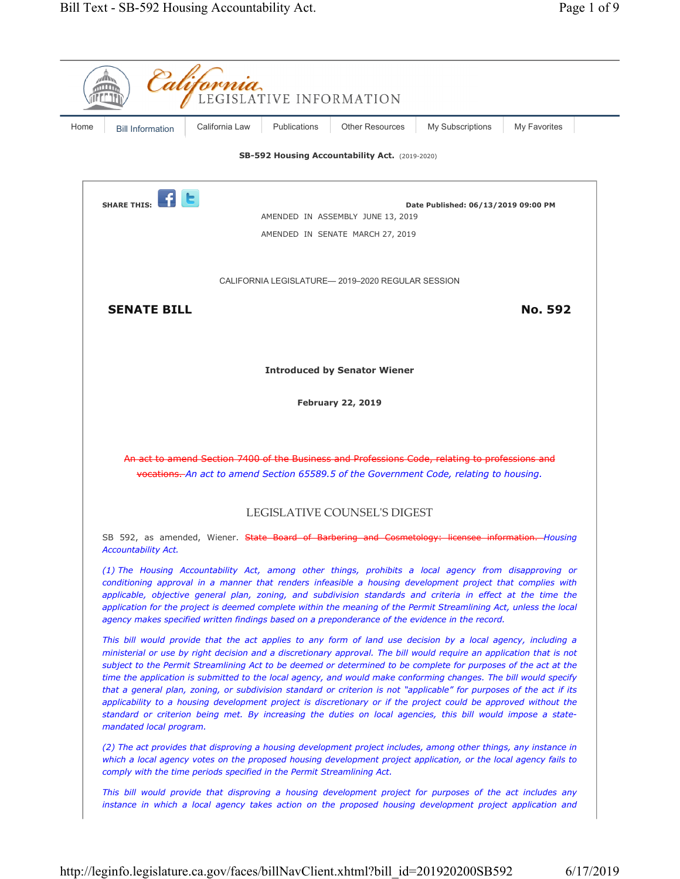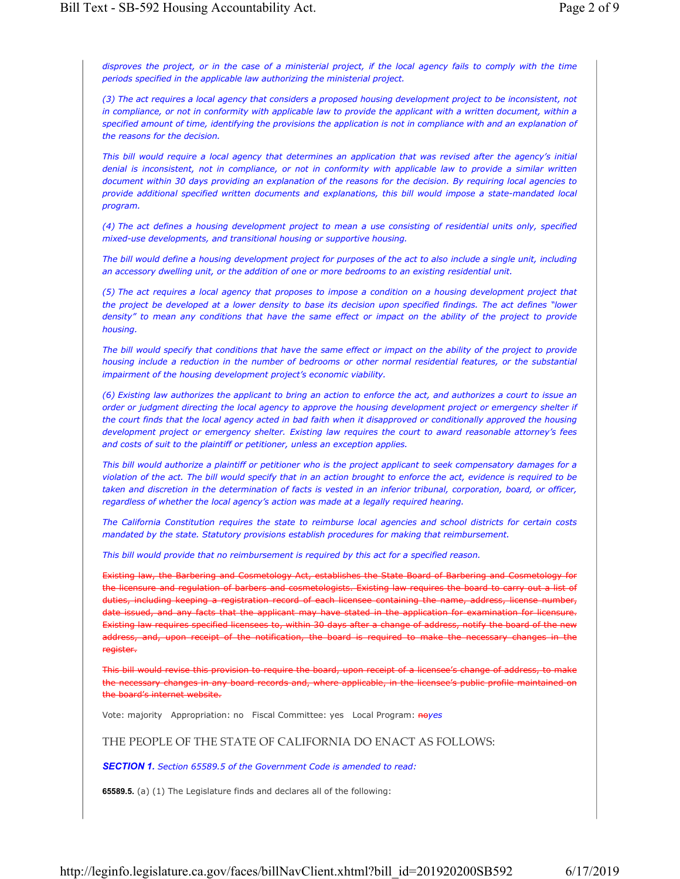*disproves the project, or in the case of a ministerial project, if the local agency fails to comply with the time periods specified in the applicable law authorizing the ministerial project.* 

*(3) The act requires a local agency that considers a proposed housing development project to be inconsistent, not*  in compliance, or not in conformity with applicable law to provide the applicant with a written document, within a specified amount of time, identifying the provisions the application is not in compliance with and an explanation of *the reasons for the decision.*

*This bill would require a local agency that determines an application that was revised after the agency's initial denial is inconsistent, not in compliance, or not in conformity with applicable law to provide a similar written document within 30 days providing an explanation of the reasons for the decision. By requiring local agencies to provide additional specified written documents and explanations, this bill would impose a state-mandated local program.* 

*(4) The act defines a housing development project to mean a use consisting of residential units only, specified mixed-use developments, and transitional housing or supportive housing.* 

*The bill would define a housing development project for purposes of the act to also include a single unit, including an accessory dwelling unit, or the addition of one or more bedrooms to an existing residential unit.* 

*(5) The act requires a local agency that proposes to impose a condition on a housing development project that the project be developed at a lower density to base its decision upon specified findings. The act defines "lower density" to mean any conditions that have the same effect or impact on the ability of the project to provide housing.*

*The bill would specify that conditions that have the same effect or impact on the ability of the project to provide housing include a reduction in the number of bedrooms or other normal residential features, or the substantial impairment of the housing development project's economic viability.*

*(6) Existing law authorizes the applicant to bring an action to enforce the act, and authorizes a court to issue an order or judgment directing the local agency to approve the housing development project or emergency shelter if*  the court finds that the local agency acted in bad faith when it disapproved or conditionally approved the housing *development project or emergency shelter. Existing law requires the court to award reasonable attorney's fees and costs of suit to the plaintiff or petitioner, unless an exception applies.*

*This bill would authorize a plaintiff or petitioner who is the project applicant to seek compensatory damages for a violation of the act. The bill would specify that in an action brought to enforce the act, evidence is required to be taken and discretion in the determination of facts is vested in an inferior tribunal, corporation, board, or officer, regardless of whether the local agency's action was made at a legally required hearing.* 

*The California Constitution requires the state to reimburse local agencies and school districts for certain costs mandated by the state. Statutory provisions establish procedures for making that reimbursement.*

*This bill would provide that no reimbursement is required by this act for a specified reason.*

Existing law, the Barbering and Cosmetology Act, establishes the State Board of Barbering and Cosmetology for the licensure and regulation of barbers and cosmetologists. Existing law requires the board to carry out a list of duties, including keeping a registration record of each licensee containing the name, address, license number, date issued, and any facts that the applicant may have stated in the application for examination for licensure. Existing law requires specified licensees to, within 30 days after a change of address, notify the board of the new address, and, upon receipt of the notification, the board is required to make the necessary changes in the necessary changes in the necessary changes in the necessary changes in the necessary changes in the necessary chang register.

This bill would revise this provision to require the board, upon receipt of a licensee's change of address, to make the necessary changes in any board records and, where applicable, in the licensee's public profile maintained on the board's internet website.

Vote: majority Appropriation: no Fiscal Committee: yes Local Program: no*yes*

THE PEOPLE OF THE STATE OF CALIFORNIA DO ENACT AS FOLLOWS:

*SECTION 1. Section 65589.5 of the Government Code is amended to read:*

**65589.5.** (a) (1) The Legislature finds and declares all of the following: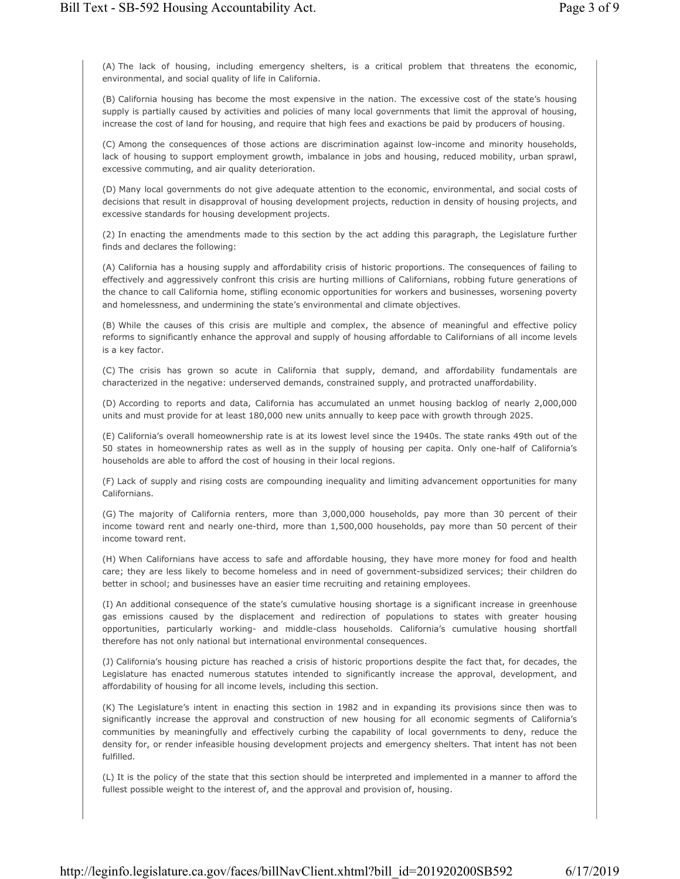(A) The lack of housing, including emergency shelters, is a critical problem that threatens the economic, environmental, and social quality of life in California.

(B) California housing has become the most expensive in the nation. The excessive cost of the state's housing supply is partially caused by activities and policies of many local governments that limit the approval of housing, increase the cost of land for housing, and require that high fees and exactions be paid by producers of housing.

(C) Among the consequences of those actions are discrimination against low-income and minority households, lack of housing to support employment growth, imbalance in jobs and housing, reduced mobility, urban sprawl, excessive commuting, and air quality deterioration.

(D) Many local governments do not give adequate attention to the economic, environmental, and social costs of decisions that result in disapproval of housing development projects, reduction in density of housing projects, and excessive standards for housing development projects.

(2) In enacting the amendments made to this section by the act adding this paragraph, the Legislature further finds and declares the following:

(A) California has a housing supply and affordability crisis of historic proportions. The consequences of failing to effectively and aggressively confront this crisis are hurting millions of Californians, robbing future generations of the chance to call California home, stifling economic opportunities for workers and businesses, worsening poverty and homelessness, and undermining the state's environmental and climate objectives.

(B) While the causes of this crisis are multiple and complex, the absence of meaningful and effective policy reforms to significantly enhance the approval and supply of housing affordable to Californians of all income levels is a key factor.

(C) The crisis has grown so acute in California that supply, demand, and affordability fundamentals are characterized in the negative: underserved demands, constrained supply, and protracted unaffordability.

(D) According to reports and data, California has accumulated an unmet housing backlog of nearly 2,000,000 units and must provide for at least 180,000 new units annually to keep pace with growth through 2025.

(E) California's overall homeownership rate is at its lowest level since the 1940s. The state ranks 49th out of the 50 states in homeownership rates as well as in the supply of housing per capita. Only one-half of California's households are able to afford the cost of housing in their local regions.

(F) Lack of supply and rising costs are compounding inequality and limiting advancement opportunities for many Californians.

(G) The majority of California renters, more than 3,000,000 households, pay more than 30 percent of their income toward rent and nearly one-third, more than 1,500,000 households, pay more than 50 percent of their income toward rent.

(H) When Californians have access to safe and affordable housing, they have more money for food and health care; they are less likely to become homeless and in need of government-subsidized services; their children do better in school; and businesses have an easier time recruiting and retaining employees.

(I) An additional consequence of the state's cumulative housing shortage is a significant increase in greenhouse gas emissions caused by the displacement and redirection of populations to states with greater housing opportunities, particularly working- and middle-class households. California's cumulative housing shortfall therefore has not only national but international environmental consequences.

(J) California's housing picture has reached a crisis of historic proportions despite the fact that, for decades, the Legislature has enacted numerous statutes intended to significantly increase the approval, development, and affordability of housing for all income levels, including this section.

(K) The Legislature's intent in enacting this section in 1982 and in expanding its provisions since then was to significantly increase the approval and construction of new housing for all economic segments of California's communities by meaningfully and effectively curbing the capability of local governments to deny, reduce the density for, or render infeasible housing development projects and emergency shelters. That intent has not been fulfilled.

(L) It is the policy of the state that this section should be interpreted and implemented in a manner to afford the fullest possible weight to the interest of, and the approval and provision of, housing.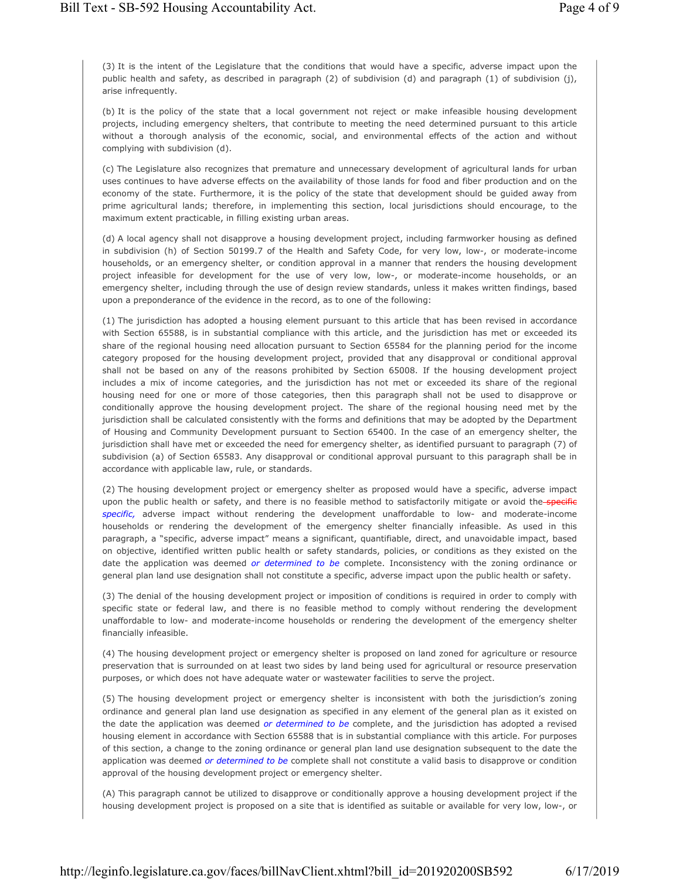(3) It is the intent of the Legislature that the conditions that would have a specific, adverse impact upon the public health and safety, as described in paragraph (2) of subdivision (d) and paragraph (1) of subdivision (j), arise infrequently.

(b) It is the policy of the state that a local government not reject or make infeasible housing development projects, including emergency shelters, that contribute to meeting the need determined pursuant to this article without a thorough analysis of the economic, social, and environmental effects of the action and without complying with subdivision (d).

(c) The Legislature also recognizes that premature and unnecessary development of agricultural lands for urban uses continues to have adverse effects on the availability of those lands for food and fiber production and on the economy of the state. Furthermore, it is the policy of the state that development should be guided away from prime agricultural lands; therefore, in implementing this section, local jurisdictions should encourage, to the maximum extent practicable, in filling existing urban areas.

(d) A local agency shall not disapprove a housing development project, including farmworker housing as defined in subdivision (h) of Section 50199.7 of the Health and Safety Code, for very low, low-, or moderate-income households, or an emergency shelter, or condition approval in a manner that renders the housing development project infeasible for development for the use of very low, low-, or moderate-income households, or an emergency shelter, including through the use of design review standards, unless it makes written findings, based upon a preponderance of the evidence in the record, as to one of the following:

(1) The jurisdiction has adopted a housing element pursuant to this article that has been revised in accordance with Section 65588, is in substantial compliance with this article, and the jurisdiction has met or exceeded its share of the regional housing need allocation pursuant to Section 65584 for the planning period for the income category proposed for the housing development project, provided that any disapproval or conditional approval shall not be based on any of the reasons prohibited by Section 65008. If the housing development project includes a mix of income categories, and the jurisdiction has not met or exceeded its share of the regional housing need for one or more of those categories, then this paragraph shall not be used to disapprove or conditionally approve the housing development project. The share of the regional housing need met by the jurisdiction shall be calculated consistently with the forms and definitions that may be adopted by the Department of Housing and Community Development pursuant to Section 65400. In the case of an emergency shelter, the jurisdiction shall have met or exceeded the need for emergency shelter, as identified pursuant to paragraph (7) of subdivision (a) of Section 65583. Any disapproval or conditional approval pursuant to this paragraph shall be in accordance with applicable law, rule, or standards.

(2) The housing development project or emergency shelter as proposed would have a specific, adverse impact upon the public health or safety, and there is no feasible method to satisfactorily mitigate or avoid the-specific *specific,* adverse impact without rendering the development unaffordable to low- and moderate-income households or rendering the development of the emergency shelter financially infeasible. As used in this paragraph, a "specific, adverse impact" means a significant, quantifiable, direct, and unavoidable impact, based on objective, identified written public health or safety standards, policies, or conditions as they existed on the date the application was deemed *or determined to be* complete. Inconsistency with the zoning ordinance or general plan land use designation shall not constitute a specific, adverse impact upon the public health or safety.

(3) The denial of the housing development project or imposition of conditions is required in order to comply with specific state or federal law, and there is no feasible method to comply without rendering the development unaffordable to low- and moderate-income households or rendering the development of the emergency shelter financially infeasible.

(4) The housing development project or emergency shelter is proposed on land zoned for agriculture or resource preservation that is surrounded on at least two sides by land being used for agricultural or resource preservation purposes, or which does not have adequate water or wastewater facilities to serve the project.

(5) The housing development project or emergency shelter is inconsistent with both the jurisdiction's zoning ordinance and general plan land use designation as specified in any element of the general plan as it existed on the date the application was deemed *or determined to be* complete, and the jurisdiction has adopted a revised housing element in accordance with Section 65588 that is in substantial compliance with this article. For purposes of this section, a change to the zoning ordinance or general plan land use designation subsequent to the date the application was deemed *or determined to be* complete shall not constitute a valid basis to disapprove or condition approval of the housing development project or emergency shelter.

(A) This paragraph cannot be utilized to disapprove or conditionally approve a housing development project if the housing development project is proposed on a site that is identified as suitable or available for very low, low-, or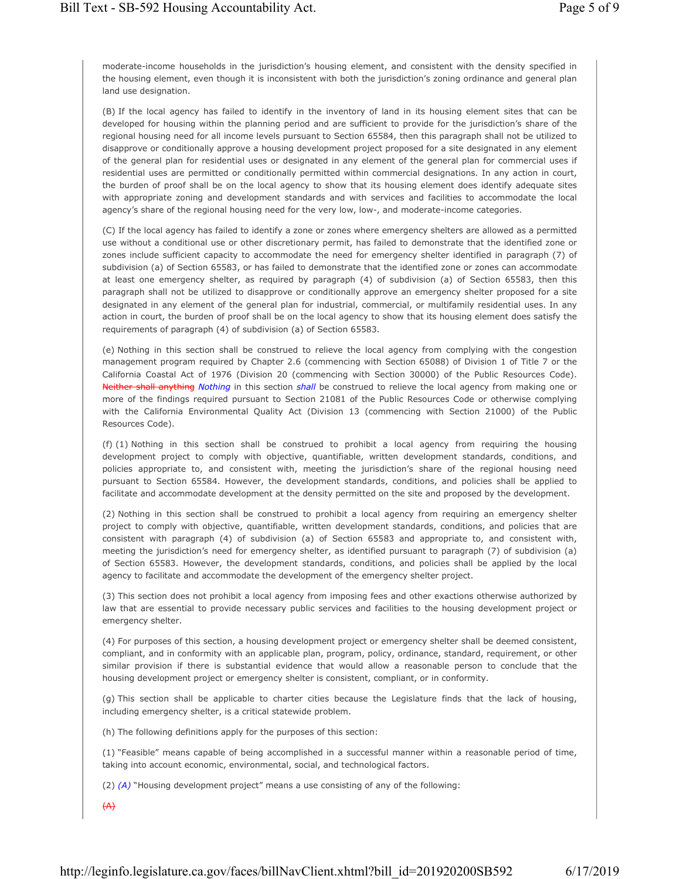moderate-income households in the jurisdiction's housing element, and consistent with the density specified in the housing element, even though it is inconsistent with both the jurisdiction's zoning ordinance and general plan land use designation.

(B) If the local agency has failed to identify in the inventory of land in its housing element sites that can be developed for housing within the planning period and are sufficient to provide for the jurisdiction's share of the regional housing need for all income levels pursuant to Section 65584, then this paragraph shall not be utilized to disapprove or conditionally approve a housing development project proposed for a site designated in any element of the general plan for residential uses or designated in any element of the general plan for commercial uses if residential uses are permitted or conditionally permitted within commercial designations. In any action in court, the burden of proof shall be on the local agency to show that its housing element does identify adequate sites with appropriate zoning and development standards and with services and facilities to accommodate the local agency's share of the regional housing need for the very low, low-, and moderate-income categories.

(C) If the local agency has failed to identify a zone or zones where emergency shelters are allowed as a permitted use without a conditional use or other discretionary permit, has failed to demonstrate that the identified zone or zones include sufficient capacity to accommodate the need for emergency shelter identified in paragraph (7) of subdivision (a) of Section 65583, or has failed to demonstrate that the identified zone or zones can accommodate at least one emergency shelter, as required by paragraph (4) of subdivision (a) of Section 65583, then this paragraph shall not be utilized to disapprove or conditionally approve an emergency shelter proposed for a site designated in any element of the general plan for industrial, commercial, or multifamily residential uses. In any action in court, the burden of proof shall be on the local agency to show that its housing element does satisfy the requirements of paragraph (4) of subdivision (a) of Section 65583.

(e) Nothing in this section shall be construed to relieve the local agency from complying with the congestion management program required by Chapter 2.6 (commencing with Section 65088) of Division 1 of Title 7 or the California Coastal Act of 1976 (Division 20 (commencing with Section 30000) of the Public Resources Code). Neither shall anything *Nothing* in this section *shall* be construed to relieve the local agency from making one or more of the findings required pursuant to Section 21081 of the Public Resources Code or otherwise complying with the California Environmental Quality Act (Division 13 (commencing with Section 21000) of the Public Resources Code).

(f) (1) Nothing in this section shall be construed to prohibit a local agency from requiring the housing development project to comply with objective, quantifiable, written development standards, conditions, and policies appropriate to, and consistent with, meeting the jurisdiction's share of the regional housing need pursuant to Section 65584. However, the development standards, conditions, and policies shall be applied to facilitate and accommodate development at the density permitted on the site and proposed by the development.

(2) Nothing in this section shall be construed to prohibit a local agency from requiring an emergency shelter project to comply with objective, quantifiable, written development standards, conditions, and policies that are consistent with paragraph (4) of subdivision (a) of Section 65583 and appropriate to, and consistent with, meeting the jurisdiction's need for emergency shelter, as identified pursuant to paragraph (7) of subdivision (a) of Section 65583. However, the development standards, conditions, and policies shall be applied by the local agency to facilitate and accommodate the development of the emergency shelter project.

(3) This section does not prohibit a local agency from imposing fees and other exactions otherwise authorized by law that are essential to provide necessary public services and facilities to the housing development project or emergency shelter.

(4) For purposes of this section, a housing development project or emergency shelter shall be deemed consistent, compliant, and in conformity with an applicable plan, program, policy, ordinance, standard, requirement, or other similar provision if there is substantial evidence that would allow a reasonable person to conclude that the housing development project or emergency shelter is consistent, compliant, or in conformity.

(g) This section shall be applicable to charter cities because the Legislature finds that the lack of housing, including emergency shelter, is a critical statewide problem.

(h) The following definitions apply for the purposes of this section:

(1) "Feasible" means capable of being accomplished in a successful manner within a reasonable period of time, taking into account economic, environmental, social, and technological factors.

(2) *(A)* "Housing development project" means a use consisting of any of the following:

 $(A)$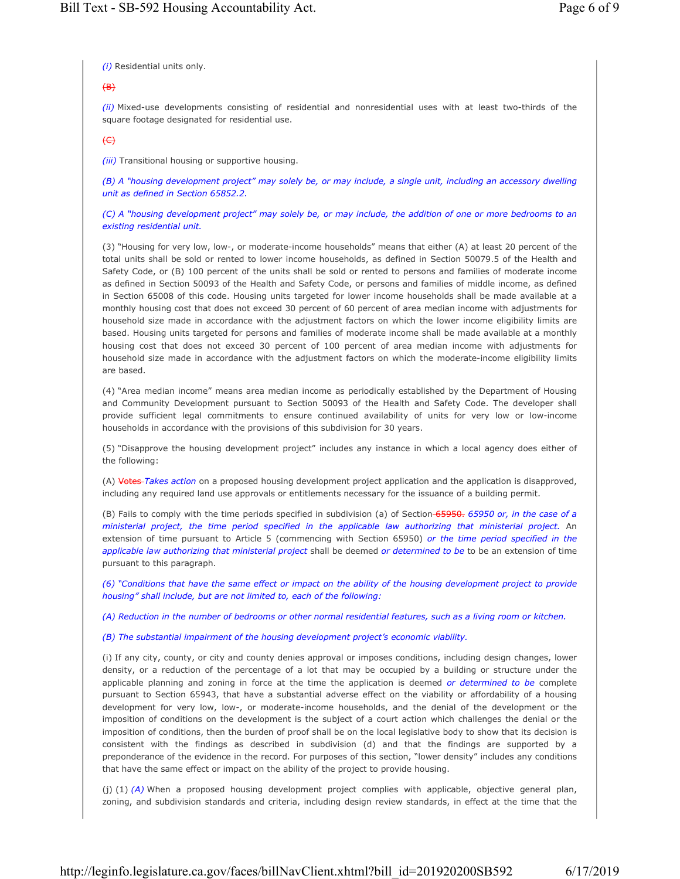*(i)* Residential units only.

# $\left( \bigoplus \right)$

*(ii)* Mixed-use developments consisting of residential and nonresidential uses with at least two-thirds of the square footage designated for residential use.

## $\left(\leftarrow$

*(iii)* Transitional housing or supportive housing.

*(B) A "housing development project" may solely be, or may include, a single unit, including an accessory dwelling unit as defined in Section 65852.2.*

*(C) A "housing development project" may solely be, or may include, the addition of one or more bedrooms to an existing residential unit.*

(3) "Housing for very low, low-, or moderate-income households" means that either (A) at least 20 percent of the total units shall be sold or rented to lower income households, as defined in Section 50079.5 of the Health and Safety Code, or (B) 100 percent of the units shall be sold or rented to persons and families of moderate income as defined in Section 50093 of the Health and Safety Code, or persons and families of middle income, as defined in Section 65008 of this code. Housing units targeted for lower income households shall be made available at a monthly housing cost that does not exceed 30 percent of 60 percent of area median income with adjustments for household size made in accordance with the adjustment factors on which the lower income eligibility limits are based. Housing units targeted for persons and families of moderate income shall be made available at a monthly housing cost that does not exceed 30 percent of 100 percent of area median income with adjustments for household size made in accordance with the adjustment factors on which the moderate-income eligibility limits are based.

(4) "Area median income" means area median income as periodically established by the Department of Housing and Community Development pursuant to Section 50093 of the Health and Safety Code. The developer shall provide sufficient legal commitments to ensure continued availability of units for very low or low-income households in accordance with the provisions of this subdivision for 30 years.

(5) "Disapprove the housing development project" includes any instance in which a local agency does either of the following:

(A) Votes *Takes action* on a proposed housing development project application and the application is disapproved, including any required land use approvals or entitlements necessary for the issuance of a building permit.

(B) Fails to comply with the time periods specified in subdivision (a) of Section 65950. *65950 or, in the case of a ministerial project, the time period specified in the applicable law authorizing that ministerial project.* An extension of time pursuant to Article 5 (commencing with Section 65950) *or the time period specified in the applicable law authorizing that ministerial project* shall be deemed *or determined to be* to be an extension of time pursuant to this paragraph.

*(6) "Conditions that have the same effect or impact on the ability of the housing development project to provide housing" shall include, but are not limited to, each of the following:*

*(A) Reduction in the number of bedrooms or other normal residential features, such as a living room or kitchen.*

*(B) The substantial impairment of the housing development project's economic viability.*

(i) If any city, county, or city and county denies approval or imposes conditions, including design changes, lower density, or a reduction of the percentage of a lot that may be occupied by a building or structure under the applicable planning and zoning in force at the time the application is deemed *or determined to be* complete pursuant to Section 65943, that have a substantial adverse effect on the viability or affordability of a housing development for very low, low-, or moderate-income households, and the denial of the development or the imposition of conditions on the development is the subject of a court action which challenges the denial or the imposition of conditions, then the burden of proof shall be on the local legislative body to show that its decision is consistent with the findings as described in subdivision (d) and that the findings are supported by a preponderance of the evidence in the record. For purposes of this section, "lower density" includes any conditions that have the same effect or impact on the ability of the project to provide housing.

(j) (1) *(A)* When a proposed housing development project complies with applicable, objective general plan, zoning, and subdivision standards and criteria, including design review standards, in effect at the time that the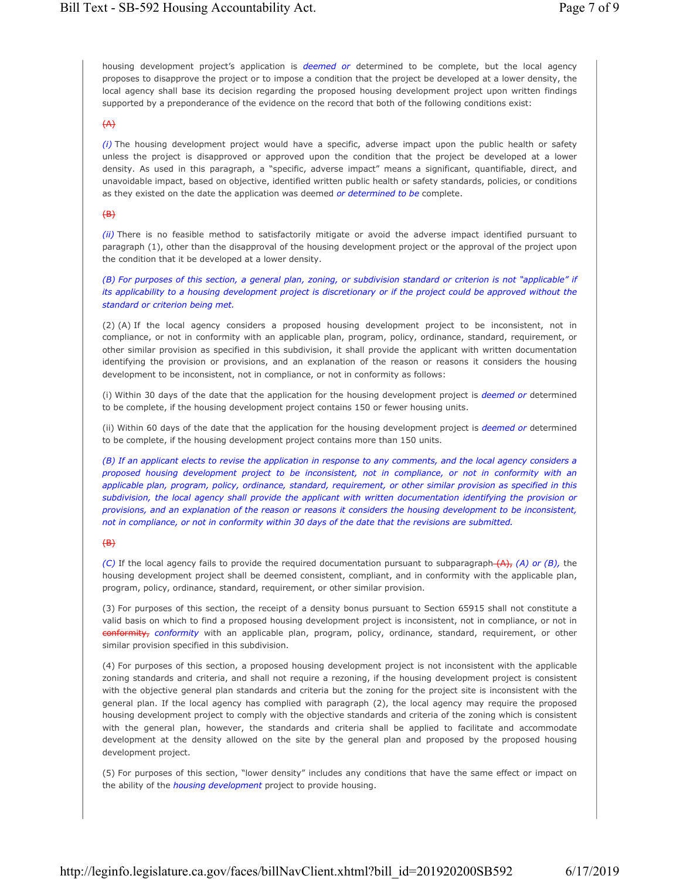housing development project's application is *deemed or* determined to be complete, but the local agency proposes to disapprove the project or to impose a condition that the project be developed at a lower density, the local agency shall base its decision regarding the proposed housing development project upon written findings supported by a preponderance of the evidence on the record that both of the following conditions exist:

#### $\leftrightarrow$

*(i)* The housing development project would have a specific, adverse impact upon the public health or safety unless the project is disapproved or approved upon the condition that the project be developed at a lower density. As used in this paragraph, a "specific, adverse impact" means a significant, quantifiable, direct, and unavoidable impact, based on objective, identified written public health or safety standards, policies, or conditions as they existed on the date the application was deemed *or determined to be* complete.

## $\left(\mathsf{B}\right)$

*(ii)* There is no feasible method to satisfactorily mitigate or avoid the adverse impact identified pursuant to paragraph (1), other than the disapproval of the housing development project or the approval of the project upon the condition that it be developed at a lower density.

*(B) For purposes of this section, a general plan, zoning, or subdivision standard or criterion is not "applicable" if its applicability to a housing development project is discretionary or if the project could be approved without the standard or criterion being met.*

(2) (A) If the local agency considers a proposed housing development project to be inconsistent, not in compliance, or not in conformity with an applicable plan, program, policy, ordinance, standard, requirement, or other similar provision as specified in this subdivision, it shall provide the applicant with written documentation identifying the provision or provisions, and an explanation of the reason or reasons it considers the housing development to be inconsistent, not in compliance, or not in conformity as follows:

(i) Within 30 days of the date that the application for the housing development project is *deemed or* determined to be complete, if the housing development project contains 150 or fewer housing units.

(ii) Within 60 days of the date that the application for the housing development project is *deemed or* determined to be complete, if the housing development project contains more than 150 units.

*(B) If an applicant elects to revise the application in response to any comments, and the local agency considers a proposed housing development project to be inconsistent, not in compliance, or not in conformity with an applicable plan, program, policy, ordinance, standard, requirement, or other similar provision as specified in this subdivision, the local agency shall provide the applicant with written documentation identifying the provision or provisions, and an explanation of the reason or reasons it considers the housing development to be inconsistent, not in compliance, or not in conformity within 30 days of the date that the revisions are submitted.*

## $\left(\text{B}\right)$

*(C)* If the local agency fails to provide the required documentation pursuant to subparagraph (A), *(A) or (B),* the housing development project shall be deemed consistent, compliant, and in conformity with the applicable plan, program, policy, ordinance, standard, requirement, or other similar provision.

(3) For purposes of this section, the receipt of a density bonus pursuant to Section 65915 shall not constitute a valid basis on which to find a proposed housing development project is inconsistent, not in compliance, or not in conformity, *conformity* with an applicable plan, program, policy, ordinance, standard, requirement, or other similar provision specified in this subdivision.

(4) For purposes of this section, a proposed housing development project is not inconsistent with the applicable zoning standards and criteria, and shall not require a rezoning, if the housing development project is consistent with the objective general plan standards and criteria but the zoning for the project site is inconsistent with the general plan. If the local agency has complied with paragraph (2), the local agency may require the proposed housing development project to comply with the objective standards and criteria of the zoning which is consistent with the general plan, however, the standards and criteria shall be applied to facilitate and accommodate development at the density allowed on the site by the general plan and proposed by the proposed housing development project.

(5) For purposes of this section, "lower density" includes any conditions that have the same effect or impact on the ability of the *housing development* project to provide housing.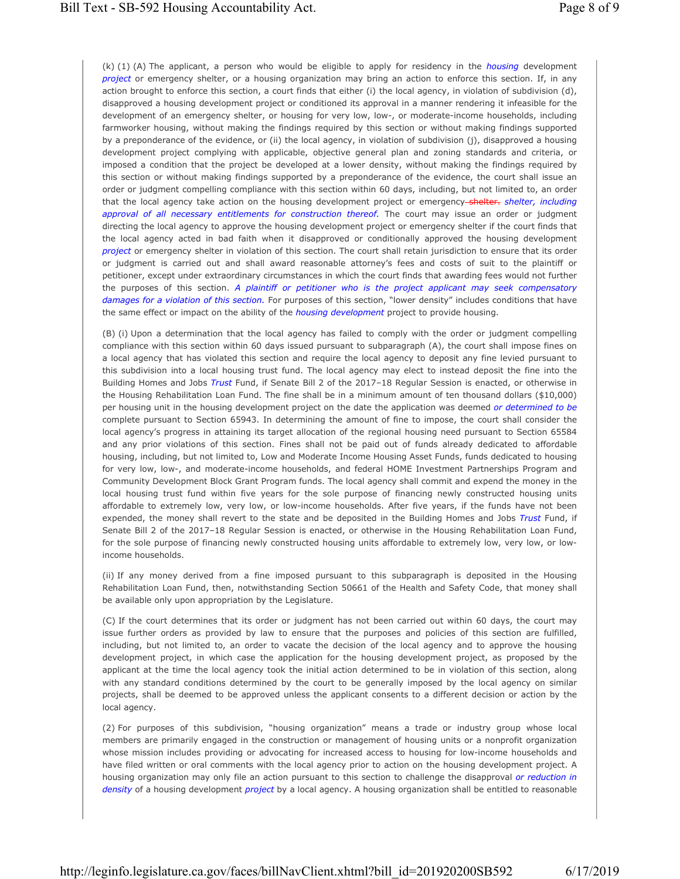(k) (1) (A) The applicant, a person who would be eligible to apply for residency in the *housing* development *project* or emergency shelter, or a housing organization may bring an action to enforce this section. If, in any action brought to enforce this section, a court finds that either (i) the local agency, in violation of subdivision (d), disapproved a housing development project or conditioned its approval in a manner rendering it infeasible for the development of an emergency shelter, or housing for very low, low-, or moderate-income households, including farmworker housing, without making the findings required by this section or without making findings supported by a preponderance of the evidence, or (ii) the local agency, in violation of subdivision (j), disapproved a housing development project complying with applicable, objective general plan and zoning standards and criteria, or imposed a condition that the project be developed at a lower density, without making the findings required by this section or without making findings supported by a preponderance of the evidence, the court shall issue an order or judgment compelling compliance with this section within 60 days, including, but not limited to, an order that the local agency take action on the housing development project or emergency shelter. *shelter, including approval of all necessary entitlements for construction thereof.* The court may issue an order or judgment directing the local agency to approve the housing development project or emergency shelter if the court finds that the local agency acted in bad faith when it disapproved or conditionally approved the housing development *project* or emergency shelter in violation of this section. The court shall retain jurisdiction to ensure that its order or judgment is carried out and shall award reasonable attorney's fees and costs of suit to the plaintiff or petitioner, except under extraordinary circumstances in which the court finds that awarding fees would not further the purposes of this section. *A plaintiff or petitioner who is the project applicant may seek compensatory damages for a violation of this section.* For purposes of this section, "lower density" includes conditions that have the same effect or impact on the ability of the *housing development* project to provide housing.

(B) (i) Upon a determination that the local agency has failed to comply with the order or judgment compelling compliance with this section within 60 days issued pursuant to subparagraph (A), the court shall impose fines on a local agency that has violated this section and require the local agency to deposit any fine levied pursuant to this subdivision into a local housing trust fund. The local agency may elect to instead deposit the fine into the Building Homes and Jobs *Trust* Fund, if Senate Bill 2 of the 2017–18 Regular Session is enacted, or otherwise in the Housing Rehabilitation Loan Fund. The fine shall be in a minimum amount of ten thousand dollars (\$10,000) per housing unit in the housing development project on the date the application was deemed *or determined to be* complete pursuant to Section 65943. In determining the amount of fine to impose, the court shall consider the local agency's progress in attaining its target allocation of the regional housing need pursuant to Section 65584 and any prior violations of this section. Fines shall not be paid out of funds already dedicated to affordable housing, including, but not limited to, Low and Moderate Income Housing Asset Funds, funds dedicated to housing for very low, low-, and moderate-income households, and federal HOME Investment Partnerships Program and Community Development Block Grant Program funds. The local agency shall commit and expend the money in the local housing trust fund within five years for the sole purpose of financing newly constructed housing units affordable to extremely low, very low, or low-income households. After five years, if the funds have not been expended, the money shall revert to the state and be deposited in the Building Homes and Jobs *Trust* Fund, if Senate Bill 2 of the 2017–18 Regular Session is enacted, or otherwise in the Housing Rehabilitation Loan Fund, for the sole purpose of financing newly constructed housing units affordable to extremely low, very low, or lowincome households.

(ii) If any money derived from a fine imposed pursuant to this subparagraph is deposited in the Housing Rehabilitation Loan Fund, then, notwithstanding Section 50661 of the Health and Safety Code, that money shall be available only upon appropriation by the Legislature.

(C) If the court determines that its order or judgment has not been carried out within 60 days, the court may issue further orders as provided by law to ensure that the purposes and policies of this section are fulfilled, including, but not limited to, an order to vacate the decision of the local agency and to approve the housing development project, in which case the application for the housing development project, as proposed by the applicant at the time the local agency took the initial action determined to be in violation of this section, along with any standard conditions determined by the court to be generally imposed by the local agency on similar projects, shall be deemed to be approved unless the applicant consents to a different decision or action by the local agency.

(2) For purposes of this subdivision, "housing organization" means a trade or industry group whose local members are primarily engaged in the construction or management of housing units or a nonprofit organization whose mission includes providing or advocating for increased access to housing for low-income households and have filed written or oral comments with the local agency prior to action on the housing development project. A housing organization may only file an action pursuant to this section to challenge the disapproval *or reduction in density* of a housing development *project* by a local agency. A housing organization shall be entitled to reasonable